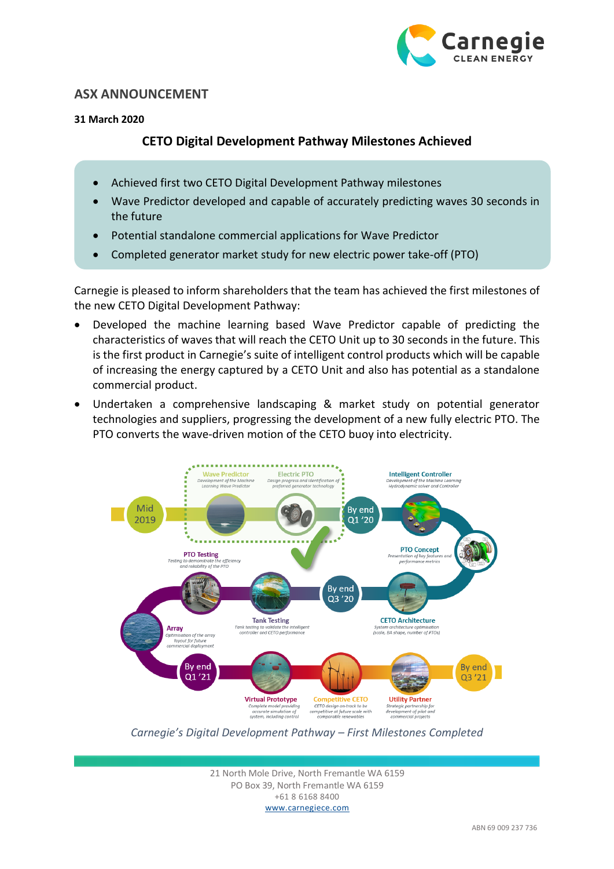

## **ASX ANNOUNCEMENT**

#### **31 March 2020**

# **CETO Digital Development Pathway Milestones Achieved**

- Achieved first two CETO Digital Development Pathway milestones
- Wave Predictor developed and capable of accurately predicting waves 30 seconds in the future
- Potential standalone commercial applications for Wave Predictor
- Completed generator market study for new electric power take-off (PTO)

Carnegie is pleased to inform shareholders that the team has achieved the first milestones of the new CETO Digital Development Pathway:

- Developed the machine learning based Wave Predictor capable of predicting the characteristics of waves that will reach the CETO Unit up to 30 seconds in the future. This is the first product in Carnegie's suite of intelligent control products which will be capable of increasing the energy captured by a CETO Unit and also has potential as a standalone commercial product.
- Undertaken a comprehensive landscaping & market study on potential generator technologies and suppliers, progressing the development of a new fully electric PTO. The PTO converts the wave-driven motion of the CETO buoy into electricity.



*Carnegie's Digital Development Pathway – First Milestones Completed* 

21 North Mole Drive, North Fremantle WA 6159 PO Box 39, North Fremantle WA 6159 +61 8 6168 8400 www.carnegiece.com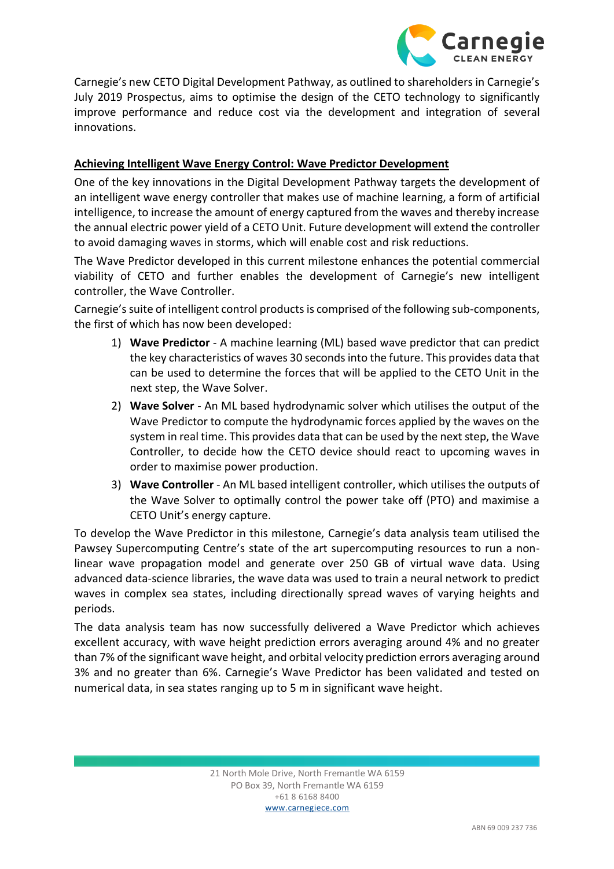

Carnegie's new CETO Digital Development Pathway, as outlined to shareholders in Carnegie's July 2019 Prospectus, aims to optimise the design of the CETO technology to significantly improve performance and reduce cost via the development and integration of several innovations.

### **Achieving Intelligent Wave Energy Control: Wave Predictor Development**

One of the key innovations in the Digital Development Pathway targets the development of an intelligent wave energy controller that makes use of machine learning, a form of artificial intelligence, to increase the amount of energy captured from the waves and thereby increase the annual electric power yield of a CETO Unit. Future development will extend the controller to avoid damaging waves in storms, which will enable cost and risk reductions.

The Wave Predictor developed in this current milestone enhances the potential commercial viability of CETO and further enables the development of Carnegie's new intelligent controller, the Wave Controller.

Carnegie's suite of intelligent control productsis comprised of the following sub-components, the first of which has now been developed:

- 1) **Wave Predictor** A machine learning (ML) based wave predictor that can predict the key characteristics of waves 30 seconds into the future. This provides data that can be used to determine the forces that will be applied to the CETO Unit in the next step, the Wave Solver.
- 2) **Wave Solver** An ML based hydrodynamic solver which utilises the output of the Wave Predictor to compute the hydrodynamic forces applied by the waves on the system in real time. This provides data that can be used by the next step, the Wave Controller, to decide how the CETO device should react to upcoming waves in order to maximise power production.
- 3) **Wave Controller** An ML based intelligent controller, which utilises the outputs of the Wave Solver to optimally control the power take off (PTO) and maximise a CETO Unit's energy capture.

To develop the Wave Predictor in this milestone, Carnegie's data analysis team utilised the Pawsey Supercomputing Centre's state of the art supercomputing resources to run a nonlinear wave propagation model and generate over 250 GB of virtual wave data. Using advanced data-science libraries, the wave data was used to train a neural network to predict waves in complex sea states, including directionally spread waves of varying heights and periods.

The data analysis team has now successfully delivered a Wave Predictor which achieves excellent accuracy, with wave height prediction errors averaging around 4% and no greater than 7% of the significant wave height, and orbital velocity prediction errors averaging around 3% and no greater than 6%. Carnegie's Wave Predictor has been validated and tested on numerical data, in sea states ranging up to 5 m in significant wave height.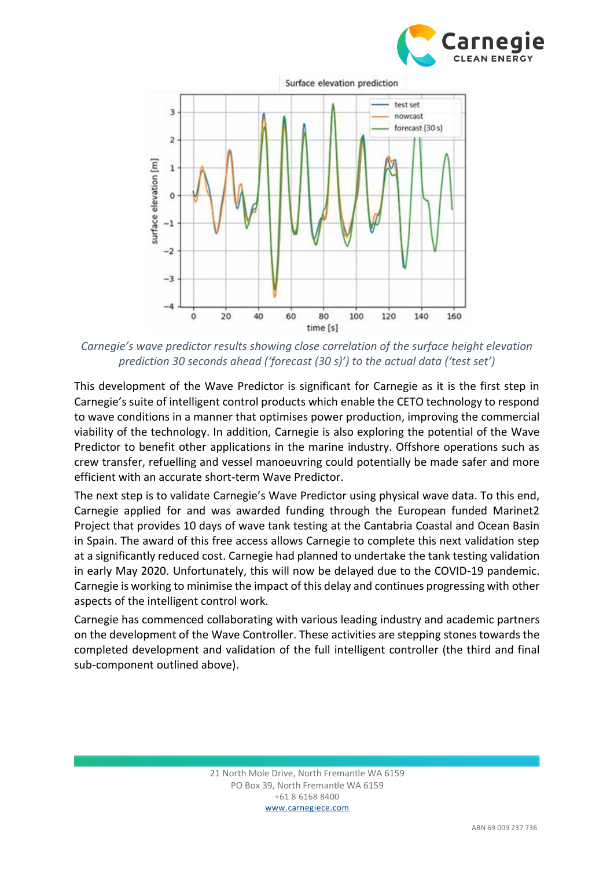

160



surface elevation [m]

 $-4$ 

 $\ddot{o}$ 

 $\overline{20}$ 

*Carnegie's wave predictor results showing close correlation of the surface height elevation prediction 30 seconds ahead ('forecast (30 s)') to the actual data ('test set')*

80

time [s]

100

120

140

60

40

This development of the Wave Predictor is significant for Carnegie as it is the first step in Carnegie's suite of intelligent control products which enable the CETO technology to respond to wave conditions in a manner that optimises power production, improving the commercial viability of the technology. In addition, Carnegie is also exploring the potential of the Wave Predictor to benefit other applications in the marine industry. Offshore operations such as crew transfer, refuelling and vessel manoeuvring could potentially be made safer and more efficient with an accurate short-term Wave Predictor.

The next step is to validate Carnegie's Wave Predictor using physical wave data. To this end, Carnegie applied for and was awarded funding through the European funded Marinet2 Project that provides 10 days of wave tank testing at the Cantabria Coastal and Ocean Basin in Spain. The award of this free access allows Carnegie to complete this next validation step at a significantly reduced cost. Carnegie had planned to undertake the tank testing validation in early May 2020. Unfortunately, this will now be delayed due to the COVID-19 pandemic. Carnegie is working to minimise the impact of this delay and continues progressing with other aspects of the intelligent control work.

Carnegie has commenced collaborating with various leading industry and academic partners on the development of the Wave Controller. These activities are stepping stones towards the completed development and validation of the full intelligent controller (the third and final sub-component outlined above).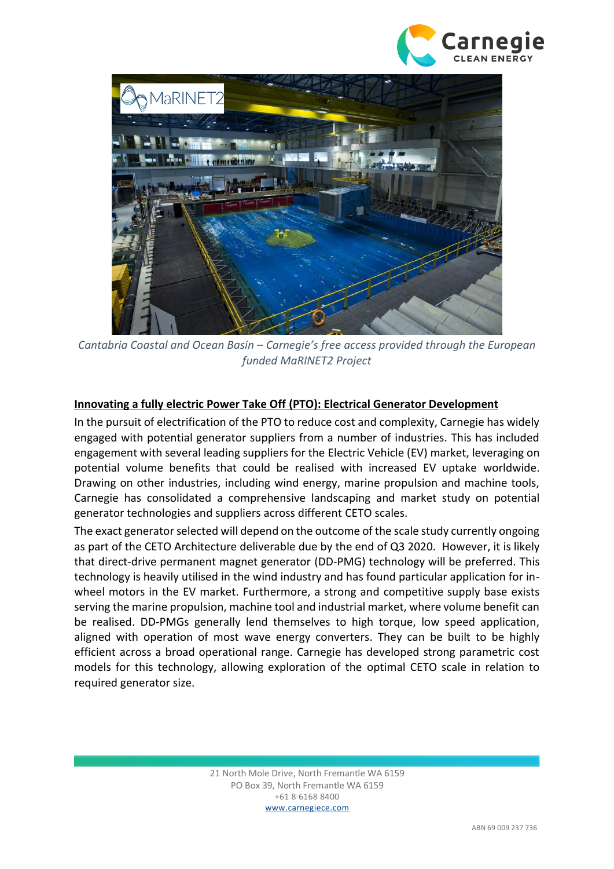



*Cantabria Coastal and Ocean Basin – Carnegie's free access provided through the European funded MaRINET2 Project*

### **Innovating a fully electric Power Take Off (PTO): Electrical Generator Development**

In the pursuit of electrification of the PTO to reduce cost and complexity, Carnegie has widely engaged with potential generator suppliers from a number of industries. This has included engagement with several leading suppliers for the Electric Vehicle (EV) market, leveraging on potential volume benefits that could be realised with increased EV uptake worldwide. Drawing on other industries, including wind energy, marine propulsion and machine tools, Carnegie has consolidated a comprehensive landscaping and market study on potential generator technologies and suppliers across different CETO scales.

The exact generator selected will depend on the outcome of the scale study currently ongoing as part of the CETO Architecture deliverable due by the end of Q3 2020. However, it is likely that direct-drive permanent magnet generator (DD-PMG) technology will be preferred. This technology is heavily utilised in the wind industry and has found particular application for inwheel motors in the EV market. Furthermore, a strong and competitive supply base exists serving the marine propulsion, machine tool and industrial market, where volume benefit can be realised. DD-PMGs generally lend themselves to high torque, low speed application, aligned with operation of most wave energy converters. They can be built to be highly efficient across a broad operational range. Carnegie has developed strong parametric cost models for this technology, allowing exploration of the optimal CETO scale in relation to required generator size.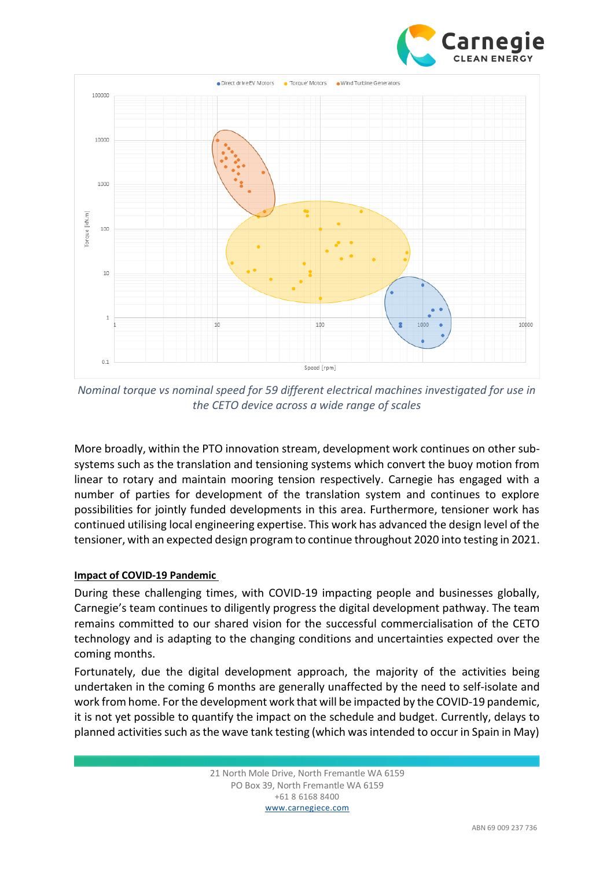



*Nominal torque vs nominal speed for 59 different electrical machines investigated for use in the CETO device across a wide range of scales*

More broadly, within the PTO innovation stream, development work continues on other subsystems such as the translation and tensioning systems which convert the buoy motion from linear to rotary and maintain mooring tension respectively. Carnegie has engaged with a number of parties for development of the translation system and continues to explore possibilities for jointly funded developments in this area. Furthermore, tensioner work has continued utilising local engineering expertise. This work has advanced the design level of the tensioner, with an expected design program to continue throughout 2020 into testing in 2021.

#### **Impact of COVID-19 Pandemic**

During these challenging times, with COVID-19 impacting people and businesses globally, Carnegie's team continues to diligently progress the digital development pathway. The team remains committed to our shared vision for the successful commercialisation of the CETO technology and is adapting to the changing conditions and uncertainties expected over the coming months.

Fortunately, due the digital development approach, the majority of the activities being undertaken in the coming 6 months are generally unaffected by the need to self-isolate and work from home. For the development work that will be impacted by the COVID-19 pandemic, it is not yet possible to quantify the impact on the schedule and budget. Currently, delays to planned activities such as the wave tank testing (which was intended to occur in Spain in May)

> 21 North Mole Drive, North Fremantle WA 6159 PO Box 39, North Fremantle WA 6159 +61 8 6168 8400 www.carnegiece.com